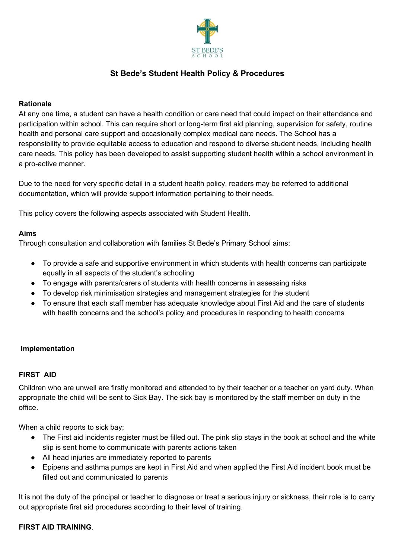

# **St Bede's Student Health Policy & Procedures**

## **Rationale**

At any one time, a student can have a health condition or care need that could impact on their attendance and participation within school. This can require short or long-term first aid planning, supervision for safety, routine health and personal care support and occasionally complex medical care needs. The School has a responsibility to provide equitable access to education and respond to diverse student needs, including health care needs. This policy has been developed to assist supporting student health within a school environment in a pro-active manner.

Due to the need for very specific detail in a student health policy, readers may be referred to additional documentation, which will provide support information pertaining to their needs.

This policy covers the following aspects associated with Student Health.

## **Aims**

Through consultation and collaboration with families St Bede's Primary School aims:

- To provide a safe and supportive environment in which students with health concerns can participate equally in all aspects of the student's schooling
- To engage with parents/carers of students with health concerns in assessing risks
- To develop risk minimisation strategies and management strategies for the student
- To ensure that each staff member has adequate knowledge about First Aid and the care of students with health concerns and the school's policy and procedures in responding to health concerns

### **Implementation**

## **FIRST AID**

Children who are unwell are firstly monitored and attended to by their teacher or a teacher on yard duty. When appropriate the child will be sent to Sick Bay. The sick bay is monitored by the staff member on duty in the office.

When a child reports to sick bay;

- The First aid incidents register must be filled out. The pink slip stays in the book at school and the white slip is sent home to communicate with parents actions taken
- All head injuries are immediately reported to parents
- Epipens and asthma pumps are kept in First Aid and when applied the First Aid incident book must be filled out and communicated to parents

It is not the duty of the principal or teacher to diagnose or treat a serious injury or sickness, their role is to carry out appropriate first aid procedures according to their level of training.

## **FIRST AID TRAINING**.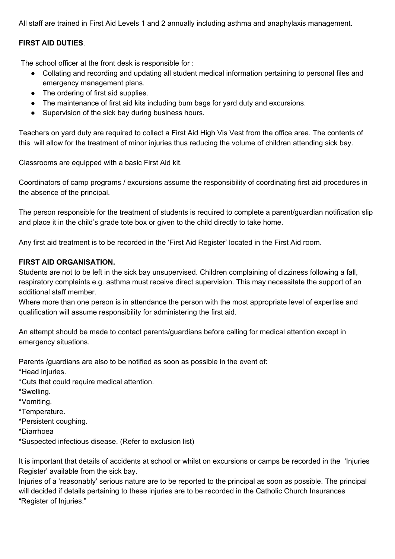All staff are trained in First Aid Levels 1 and 2 annually including asthma and anaphylaxis management.

## **FIRST AID DUTIES**.

The school officer at the front desk is responsible for :

- Collating and recording and updating all student medical information pertaining to personal files and emergency management plans.
- The ordering of first aid supplies.
- The maintenance of first aid kits including bum bags for yard duty and excursions.
- Supervision of the sick bay during business hours.

Teachers on yard duty are required to collect a First Aid High Vis Vest from the office area. The contents of this will allow for the treatment of minor injuries thus reducing the volume of children attending sick bay.

Classrooms are equipped with a basic First Aid kit.

Coordinators of camp programs / excursions assume the responsibility of coordinating first aid procedures in the absence of the principal.

The person responsible for the treatment of students is required to complete a parent/guardian notification slip and place it in the child's grade tote box or given to the child directly to take home.

Any first aid treatment is to be recorded in the 'First Aid Register' located in the First Aid room.

## **FIRST AID ORGANISATION.**

Students are not to be left in the sick bay unsupervised. Children complaining of dizziness following a fall, respiratory complaints e.g. asthma must receive direct supervision. This may necessitate the support of an additional staff member.

Where more than one person is in attendance the person with the most appropriate level of expertise and qualification will assume responsibility for administering the first aid.

An attempt should be made to contact parents/guardians before calling for medical attention except in emergency situations.

Parents /guardians are also to be notified as soon as possible in the event of:

\*Head injuries.

\*Cuts that could require medical attention.

\*Swelling.

\*Vomiting.

\*Temperature.

\*Persistent coughing.

\*Diarrhoea

\*Suspected infectious disease. (Refer to exclusion list)

It is important that details of accidents at school or whilst on excursions or camps be recorded in the 'Injuries Register' available from the sick bay.

Injuries of a 'reasonably' serious nature are to be reported to the principal as soon as possible. The principal will decided if details pertaining to these injuries are to be recorded in the Catholic Church Insurances "Register of Injuries."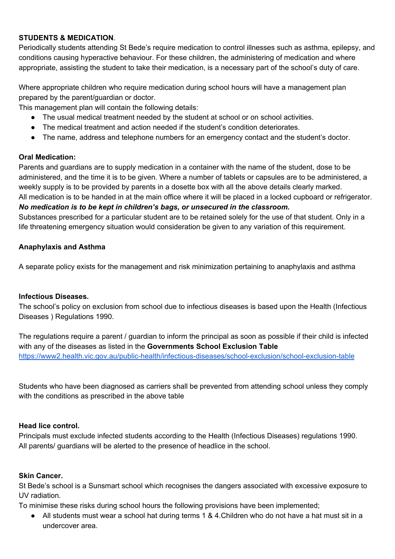## **STUDENTS & MEDICATION**.

Periodically students attending St Bede's require medication to control illnesses such as asthma, epilepsy, and conditions causing hyperactive behaviour. For these children, the administering of medication and where appropriate, assisting the student to take their medication, is a necessary part of the school's duty of care.

Where appropriate children who require medication during school hours will have a management plan prepared by the parent/guardian or doctor.

This management plan will contain the following details:

- The usual medical treatment needed by the student at school or on school activities.
- The medical treatment and action needed if the student's condition deteriorates.
- The name, address and telephone numbers for an emergency contact and the student's doctor.

### **Oral Medication:**

Parents and guardians are to supply medication in a container with the name of the student, dose to be administered, and the time it is to be given. Where a number of tablets or capsules are to be administered, a weekly supply is to be provided by parents in a dosette box with all the above details clearly marked.

All medication is to be handed in at the main office where it will be placed in a locked cupboard or refrigerator. *No medication is to be kept in children's bags, or unsecured in the classroom.*

Substances prescribed for a particular student are to be retained solely for the use of that student. Only in a life threatening emergency situation would consideration be given to any variation of this requirement.

## **Anaphylaxis and Asthma**

A separate policy exists for the management and risk minimization pertaining to anaphylaxis and asthma

### **Infectious Diseases.**

The school's policy on exclusion from school due to infectious diseases is based upon the Health (Infectious Diseases ) Regulations 1990.

The regulations require a parent / guardian to inform the principal as soon as possible if their child is infected with any of the diseases as listed in the **Governments School Exclusion Table** <https://www2.health.vic.gov.au/public-health/infectious-diseases/school-exclusion/school-exclusion-table>

Students who have been diagnosed as carriers shall be prevented from attending school unless they comply with the conditions as prescribed in the above table

### **Head lice control.**

Principals must exclude infected students according to the Health (Infectious Diseases) regulations 1990. All parents/ guardians will be alerted to the presence of headlice in the school.

### **Skin Cancer.**

St Bede's school is a Sunsmart school which recognises the dangers associated with excessive exposure to UV radiation.

To minimise these risks during school hours the following provisions have been implemented;

• All students must wear a school hat during terms 1 & 4. Children who do not have a hat must sit in a undercover area.